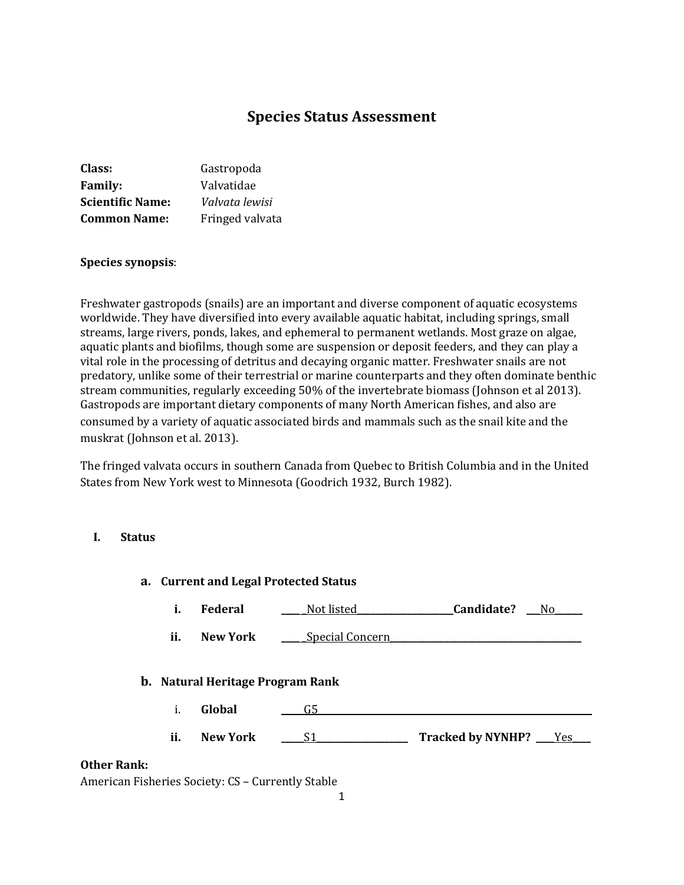# **Species Status Assessment**

| Class:                  | Gastropoda      |
|-------------------------|-----------------|
| <b>Family:</b>          | Valvatidae      |
| <b>Scientific Name:</b> | Valvata lewisi  |
| <b>Common Name:</b>     | Fringed valvata |

#### **Species synopsis**:

Freshwater gastropods (snails) are an important and diverse component of aquatic ecosystems worldwide. They have diversified into every available aquatic habitat, including springs, small streams, large rivers, ponds, lakes, and ephemeral to permanent wetlands. Most graze on algae, aquatic plants and biofilms, though some are suspension or deposit feeders, and they can play a vital role in the processing of detritus and decaying organic matter. Freshwater snails are not predatory, unlike some of their terrestrial or marine counterparts and they often dominate benthic stream communities, regularly exceeding 50% of the invertebrate biomass (Johnson et al 2013). Gastropods are important dietary components of many North American fishes, and also are consumed by a variety of aquatic associated birds and mammals such as the snail kite and the muskrat (Johnson et al. 2013).

The fringed valvata occurs in southern Canada from Quebec to British Columbia and in the United States from New York west to Minnesota (Goodrich 1932, Burch 1982).

#### **I. Status**

|                    |     | a. Current and Legal Protected Status   |                 |                       |
|--------------------|-----|-----------------------------------------|-----------------|-----------------------|
|                    | i.  | Federal                                 | Not listed      | Candidate?<br>No.     |
|                    | ii. | New York                                | Special Concern |                       |
|                    |     | <b>b.</b> Natural Heritage Program Rank |                 |                       |
|                    | i.  | Global                                  | G5              |                       |
|                    | ii. | <b>New York</b>                         | S1.             | Tracked by NYNHP? Ves |
| <b>Other Rank:</b> |     |                                         |                 |                       |

#### American Fisheries Society: CS – Currently Stable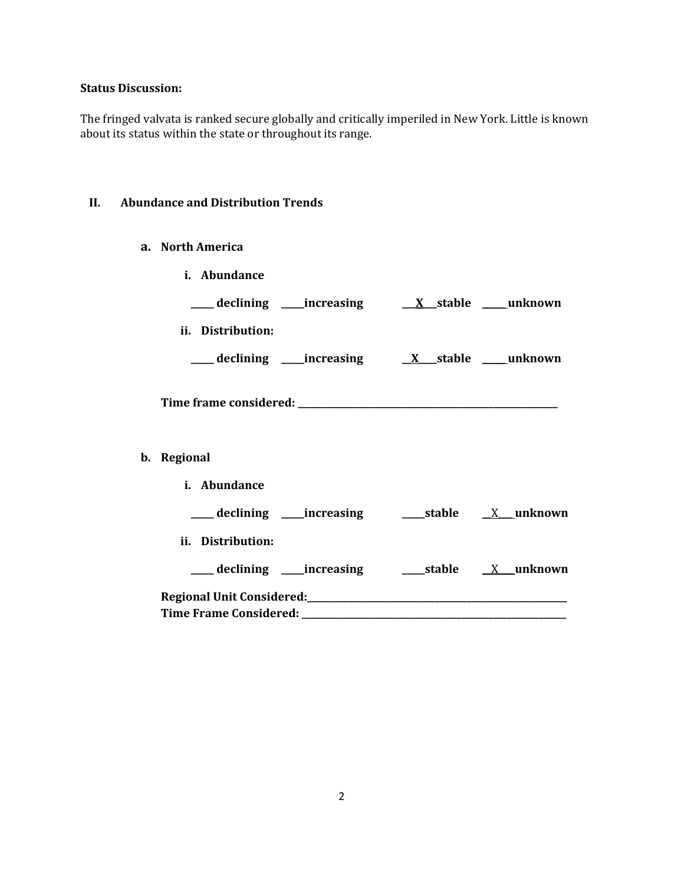# **Status Discussion:**

The fringed valvata is ranked secure globally and critically imperiled in New York. Little is known about its status within the state or throughout its range.

### **II. Abundance and Distribution Trends**

#### **a. North America**

| i. Abundance      |  |  |
|-------------------|--|--|
|                   |  |  |
| ii. Distribution: |  |  |
|                   |  |  |
|                   |  |  |
| b. Regional       |  |  |
| i. Abundance      |  |  |
|                   |  |  |
| ii. Distribution: |  |  |
|                   |  |  |
|                   |  |  |
|                   |  |  |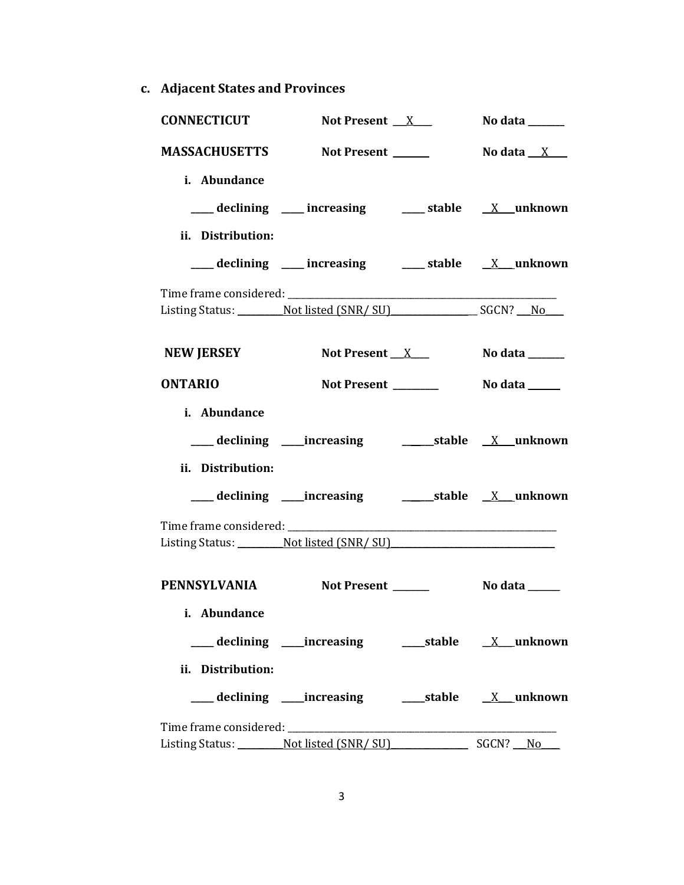**c. Adjacent States and Provinces**

| <b>CONNECTICUT</b>   | Not Present $X$                                      |  | No data $\_\_\_\_\_\_\_\_\_\_\_\_\_\_\_\_\_$ |
|----------------------|------------------------------------------------------|--|----------------------------------------------|
| <b>MASSACHUSETTS</b> | Not Present ______                                   |  | No data $\_\ X$ $\_\_$                       |
| i. Abundance         |                                                      |  |                                              |
|                      | ___ declining ___ increasing ___ stable __ X_unknown |  |                                              |
| ii. Distribution:    |                                                      |  |                                              |
|                      | ___ declining ___ increasing ___ stable __ X_unknown |  |                                              |
|                      |                                                      |  |                                              |
|                      | Listing Status: Not listed (SNR/SU) SGCN? No         |  |                                              |
| <b>NEW JERSEY</b>    | Not Present $X$                                      |  | No data $\_\_\_\_\_\_\_\_\_\_\$              |
| <b>ONTARIO</b>       | Not Present _______                                  |  | No data ______                               |
| i. Abundance         |                                                      |  |                                              |
|                      |                                                      |  |                                              |
|                      |                                                      |  |                                              |
| ii. Distribution:    |                                                      |  |                                              |
|                      |                                                      |  |                                              |
|                      |                                                      |  |                                              |
|                      | Listing Status: Not listed (SNR/SU)                  |  |                                              |
| PENNSYLVANIA         | Not Present                                          |  | No data _____                                |
| i. Abundance         |                                                      |  |                                              |
|                      |                                                      |  |                                              |
| ii. Distribution:    |                                                      |  |                                              |
|                      |                                                      |  |                                              |
|                      |                                                      |  |                                              |
|                      | Listing Status: Not listed (SNR/SU) SGCN? No         |  |                                              |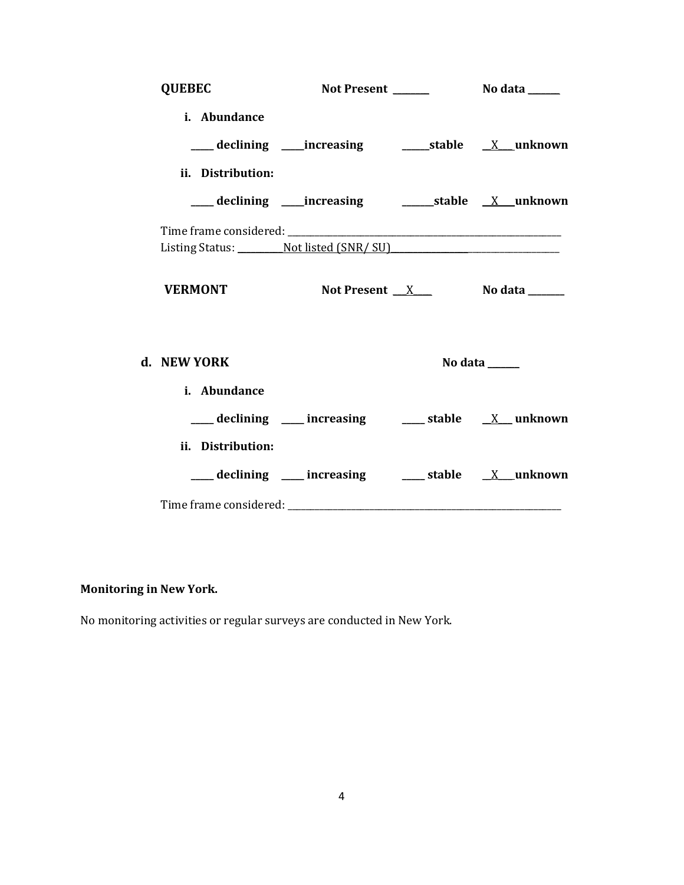| <b>QUEBEC</b>     |                                                        |                                       |
|-------------------|--------------------------------------------------------|---------------------------------------|
| i. Abundance      |                                                        |                                       |
|                   |                                                        |                                       |
| ii. Distribution: |                                                        |                                       |
|                   |                                                        |                                       |
|                   |                                                        |                                       |
|                   | Listing Status: Not listed (SNR/SU)                    |                                       |
| <b>VERMONT</b>    |                                                        | Not Present $X$ No data $\frac{X}{X}$ |
| d. NEW YORK       |                                                        | No data                               |
| i. Abundance      |                                                        |                                       |
|                   | ___ declining ___ increasing ___ stable __ X__ unknown |                                       |
| ii. Distribution: |                                                        |                                       |
|                   | ___ declining ___ increasing ___ stable __ X _unknown  |                                       |
|                   |                                                        |                                       |

# **Monitoring in New York.**

No monitoring activities or regular surveys are conducted in New York.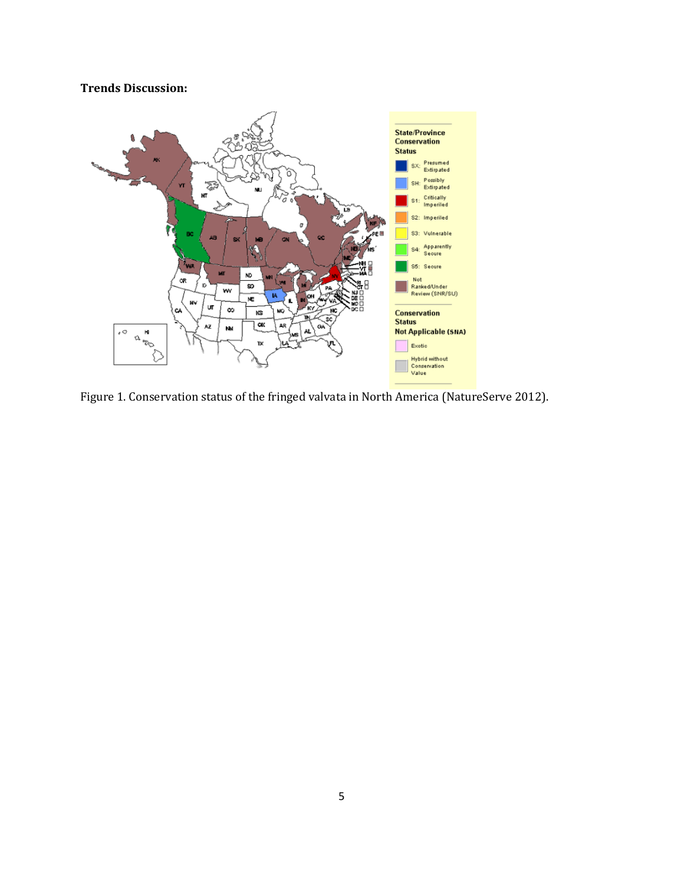# **Trends Discussion:**



Figure 1. Conservation status of the fringed valvata in North America (NatureServe 2012).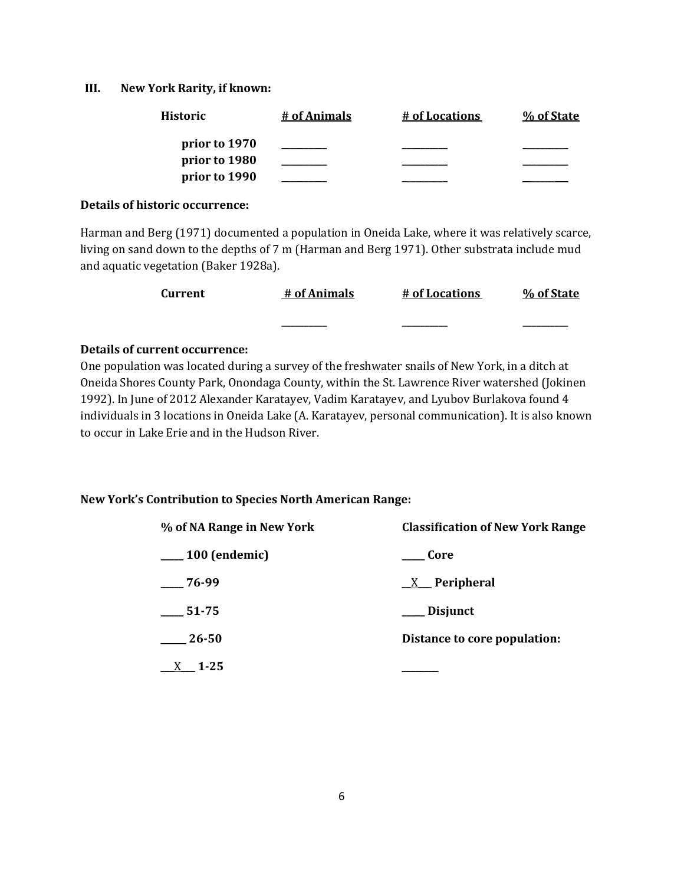#### **III. New York Rarity, if known:**

| <b>Historic</b> | # of Animals | # of Locations | % of State |
|-----------------|--------------|----------------|------------|
| prior to 1970   |              |                |            |
| prior to 1980   |              |                |            |
| prior to 1990   |              |                |            |

#### **Details of historic occurrence:**

Harman and Berg (1971) documented a population in Oneida Lake, where it was relatively scarce, living on sand down to the depths of 7 m (Harman and Berg 1971). Other substrata include mud and aquatic vegetation (Baker 1928a).

| Current | # of Animals | # of Locations | % of State |
|---------|--------------|----------------|------------|
|         |              | _______        |            |

#### **Details of current occurrence:**

One population was located during a survey of the freshwater snails of New York, in a ditch at Oneida Shores County Park, Onondaga County, within the St. Lawrence River watershed (Jokinen 1992). In June of 2012 Alexander Karatayev, Vadim Karatayev, and Lyubov Burlakova found 4 individuals in 3 locations in Oneida Lake (A. Karatayev, personal communication). It is also known to occur in Lake Erie and in the Hudson River.

#### **New York's Contribution to Species North American Range:**

| % of NA Range in New York | <b>Classification of New York Range</b> |  |
|---------------------------|-----------------------------------------|--|
| $\frac{100}{2}$ (endemic) | Core                                    |  |
| $-76-99$                  | $X$ Peripheral                          |  |
| $-51-75$                  | Disjunct                                |  |
| $\frac{26-50}{2}$         | Distance to core population:            |  |
| $X = 1-25$                |                                         |  |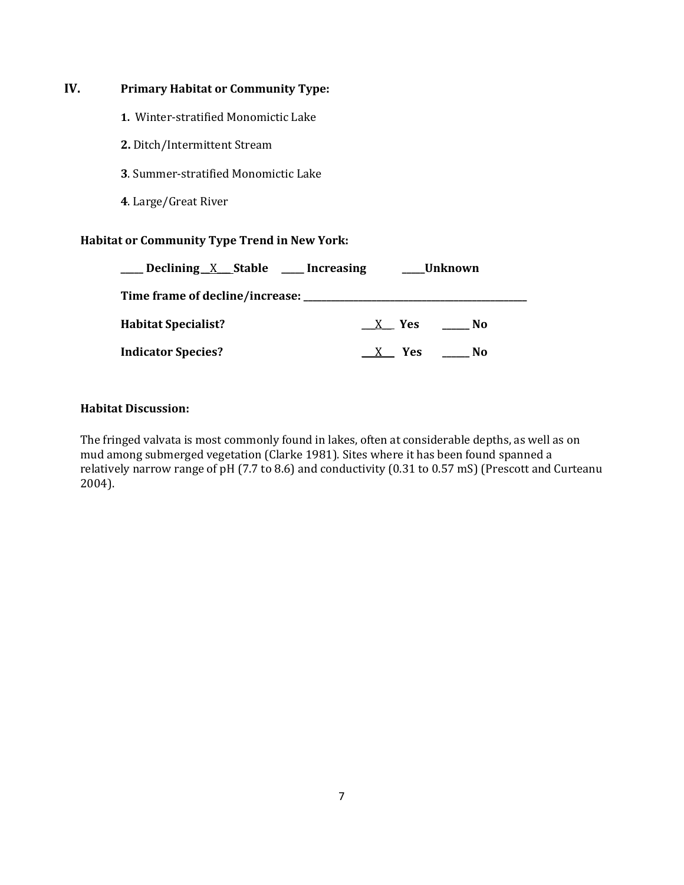# **IV. Primary Habitat or Community Type:**

- **1.** Winter-stratified Monomictic Lake
- **2.** Ditch/Intermittent Stream
- **3**. Summer-stratified Monomictic Lake
- **4**. Large/Great River

### **Habitat or Community Type Trend in New York:**

| _Declining X Stable ___Increasing | Unknown      |
|-----------------------------------|--------------|
|                                   |              |
| <b>Habitat Specialist?</b>        | X Yes<br>No. |
| <b>Indicator Species?</b>         | X Yes<br>No  |

# **Habitat Discussion:**

The fringed valvata is most commonly found in lakes, often at considerable depths, as well as on mud among submerged vegetation (Clarke 1981). Sites where it has been found spanned a relatively narrow range of pH (7.7 to 8.6) and conductivity (0.31 to 0.57 mS) (Prescott and Curteanu 2004).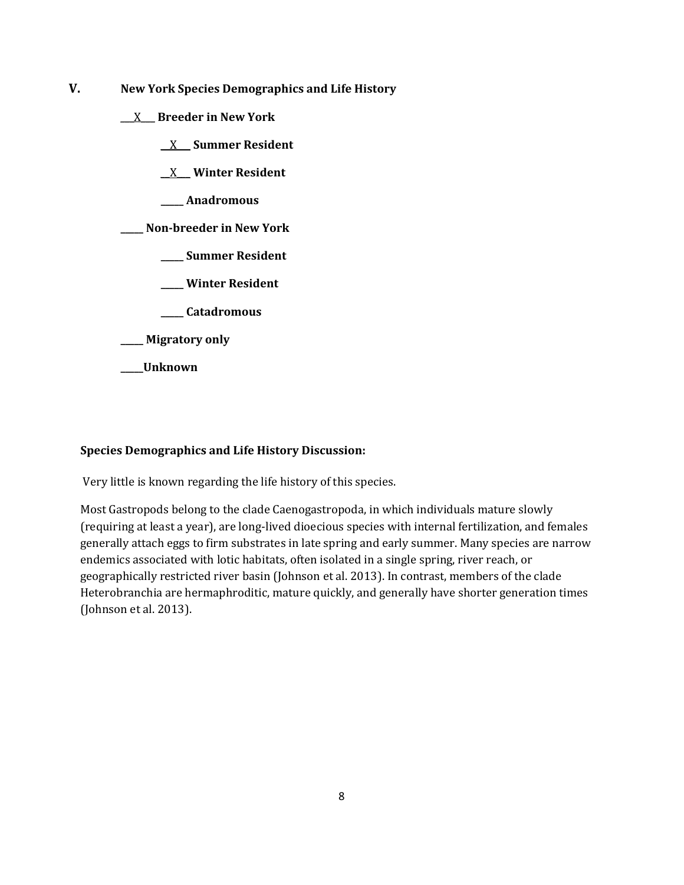- **V. New York Species Demographics and Life History**
	- \_\_\_X\_\_\_ **Breeder in New York**
		- \_\_X\_\_\_ **Summer Resident**
		- \_\_X\_\_\_ **Winter Resident**
		- **\_\_\_\_\_ Anadromous**
	- **\_\_\_\_\_ Non-breeder in New York**
		- **\_\_\_\_\_ Summer Resident**
		- **\_\_\_\_\_ Winter Resident**
		- **\_\_\_\_\_ Catadromous**
	- **\_\_\_\_\_ Migratory only**
	- **\_\_\_\_\_Unknown**

#### **Species Demographics and Life History Discussion:**

Very little is known regarding the life history of this species.

Most Gastropods belong to the clade Caenogastropoda, in which individuals mature slowly (requiring at least a year), are long-lived dioecious species with internal fertilization, and females generally attach eggs to firm substrates in late spring and early summer. Many species are narrow endemics associated with lotic habitats, often isolated in a single spring, river reach, or geographically restricted river basin (Johnson et al. 2013). In contrast, members of the clade Heterobranchia are hermaphroditic, mature quickly, and generally have shorter generation times (Johnson et al. 2013).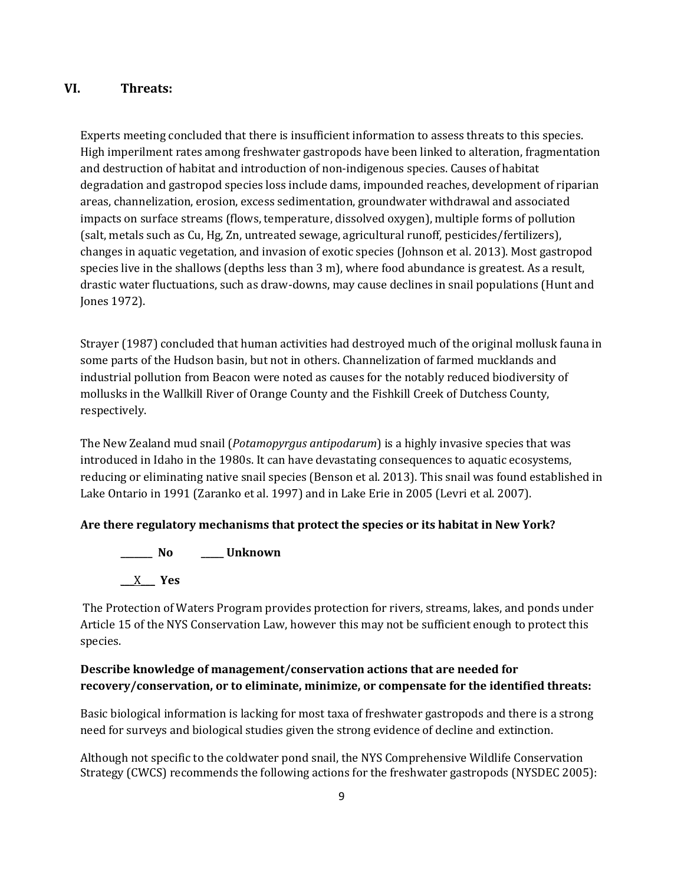# **VI. Threats:**

Experts meeting concluded that there is insufficient information to assess threats to this species. High imperilment rates among freshwater gastropods have been linked to alteration, fragmentation and destruction of habitat and introduction of non-indigenous species. Causes of habitat degradation and gastropod species loss include dams, impounded reaches, development of riparian areas, channelization, erosion, excess sedimentation, groundwater withdrawal and associated impacts on surface streams (flows, temperature, dissolved oxygen), multiple forms of pollution (salt, metals such as Cu, Hg, Zn, untreated sewage, agricultural runoff, pesticides/fertilizers), changes in aquatic vegetation, and invasion of exotic species (Johnson et al. 2013). Most gastropod species live in the shallows (depths less than 3 m), where food abundance is greatest. As a result, drastic water fluctuations, such as draw-downs, may cause declines in snail populations (Hunt and Jones 1972).

Strayer (1987) concluded that human activities had destroyed much of the original mollusk fauna in some parts of the Hudson basin, but not in others. Channelization of farmed mucklands and industrial pollution from Beacon were noted as causes for the notably reduced biodiversity of mollusks in the Wallkill River of Orange County and the Fishkill Creek of Dutchess County, respectively.

The New Zealand mud snail (*Potamopyrgus antipodarum*) is a highly invasive species that was introduced in Idaho in the 1980s. It can have devastating consequences to aquatic ecosystems, reducing or eliminating native snail species (Benson et al. 2013). This snail was found established in Lake Ontario in 1991 (Zaranko et al. 1997) and in Lake Erie in 2005 (Levri et al. 2007).

#### **Are there regulatory mechanisms that protect the species or its habitat in New York?**

**\_\_\_\_\_\_\_ No \_\_\_\_\_ Unknown** \_\_\_X\_\_\_ **Yes** 

The Protection of Waters Program provides protection for rivers, streams, lakes, and ponds under Article 15 of the NYS Conservation Law, however this may not be sufficient enough to protect this species.

# **Describe knowledge of management/conservation actions that are needed for recovery/conservation, or to eliminate, minimize, or compensate for the identified threats:**

Basic biological information is lacking for most taxa of freshwater gastropods and there is a strong need for surveys and biological studies given the strong evidence of decline and extinction.

Although not specific to the coldwater pond snail, the NYS Comprehensive Wildlife Conservation Strategy (CWCS) recommends the following actions for the freshwater gastropods (NYSDEC 2005):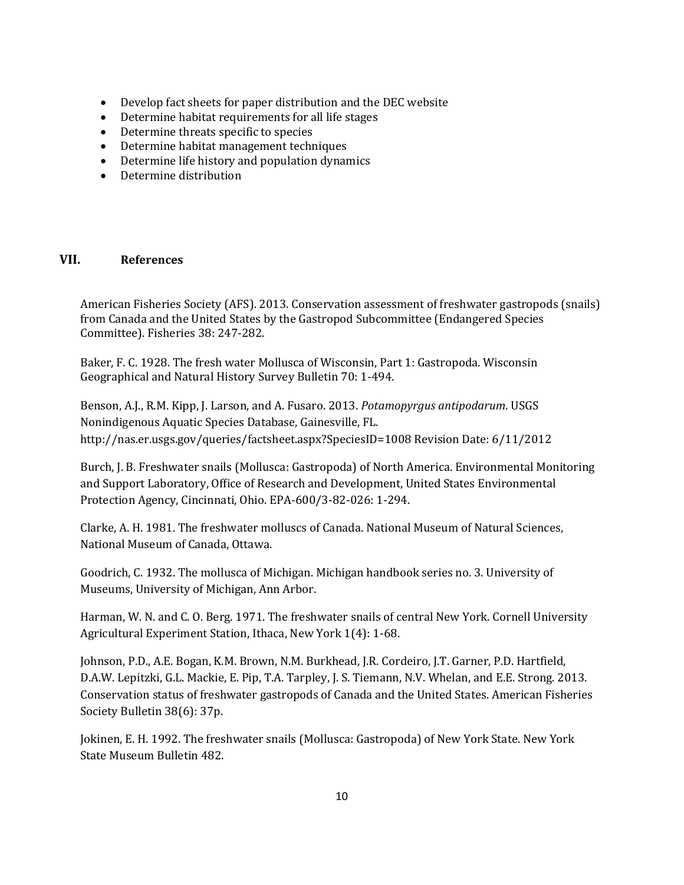- Develop fact sheets for paper distribution and the DEC website
- Determine habitat requirements for all life stages
- Determine threats specific to species
- Determine habitat management techniques
- Determine life history and population dynamics
- Determine distribution

#### **VII. References**

American Fisheries Society (AFS). 2013. Conservation assessment of freshwater gastropods (snails) from Canada and the United States by the Gastropod Subcommittee (Endangered Species Committee). Fisheries 38: 247-282.

Baker, F. C. 1928. The fresh water Mollusca of Wisconsin, Part 1: Gastropoda. Wisconsin Geographical and Natural History Survey Bulletin 70: 1-494.

Benson, A.J., R.M. Kipp, J. Larson, and A. Fusaro. 2013. *Potamopyrgus antipodarum*. USGS Nonindigenous Aquatic Species Database, Gainesville, FL. http://nas.er.usgs.gov/queries/factsheet.aspx?SpeciesID=1008 Revision Date: 6/11/2012

Burch, J. B. Freshwater snails (Mollusca: Gastropoda) of North America. Environmental Monitoring and Support Laboratory, Office of Research and Development, United States Environmental Protection Agency, Cincinnati, Ohio. EPA-600/3-82-026: 1-294.

Clarke, A. H. 1981. The freshwater molluscs of Canada. National Museum of Natural Sciences, National Museum of Canada, Ottawa.

Goodrich, C. 1932. The mollusca of Michigan. Michigan handbook series no. 3. University of Museums, University of Michigan, Ann Arbor.

Harman, W. N. and C. O. Berg. 1971. The freshwater snails of central New York. Cornell University Agricultural Experiment Station, Ithaca, New York 1(4): 1-68.

Johnson, P.D., A.E. Bogan, K.M. Brown, N.M. Burkhead, J.R. Cordeiro, J.T. Garner, P.D. Hartfield, D.A.W. Lepitzki, G.L. Mackie, E. Pip, T.A. Tarpley, J. S. Tiemann, N.V. Whelan, and E.E. Strong. 2013. Conservation status of freshwater gastropods of Canada and the United States. American Fisheries Society Bulletin 38(6): 37p.

Jokinen, E. H. 1992. The freshwater snails (Mollusca: Gastropoda) of New York State. New York State Museum Bulletin 482.